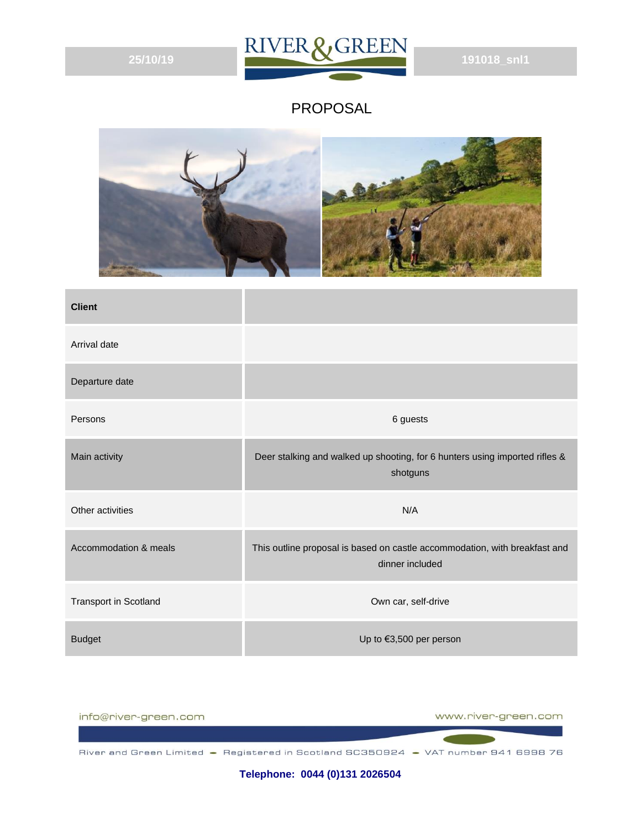

#### PROPOSAL



| <b>Client</b>                |                                                                                               |
|------------------------------|-----------------------------------------------------------------------------------------------|
| Arrival date                 |                                                                                               |
| Departure date               |                                                                                               |
| Persons                      | 6 guests                                                                                      |
| Main activity                | Deer stalking and walked up shooting, for 6 hunters using imported rifles &<br>shotguns       |
| Other activities             | N/A                                                                                           |
| Accommodation & meals        | This outline proposal is based on castle accommodation, with breakfast and<br>dinner included |
| <b>Transport in Scotland</b> | Own car, self-drive                                                                           |
| <b>Budget</b>                | Up to €3,500 per person                                                                       |



**Telephone: 0044 (0)131 2026504**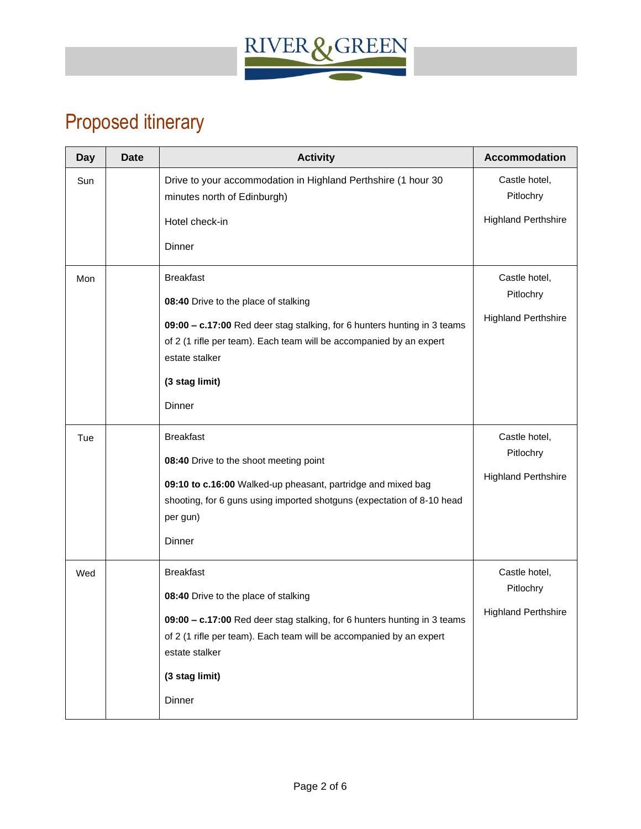

# Proposed itinerary

| <b>Day</b> | <b>Date</b> | <b>Activity</b>                                                                                                                                                                                                                                           | Accommodation                                            |
|------------|-------------|-----------------------------------------------------------------------------------------------------------------------------------------------------------------------------------------------------------------------------------------------------------|----------------------------------------------------------|
| Sun        |             | Drive to your accommodation in Highland Perthshire (1 hour 30<br>minutes north of Edinburgh)<br>Hotel check-in<br>Dinner                                                                                                                                  | Castle hotel,<br>Pitlochry<br><b>Highland Perthshire</b> |
| Mon        |             | <b>Breakfast</b><br>08:40 Drive to the place of stalking<br>09:00 - c.17:00 Red deer stag stalking, for 6 hunters hunting in 3 teams<br>of 2 (1 rifle per team). Each team will be accompanied by an expert<br>estate stalker<br>(3 stag limit)<br>Dinner | Castle hotel,<br>Pitlochry<br><b>Highland Perthshire</b> |
| Tue        |             | <b>Breakfast</b><br>08:40 Drive to the shoot meeting point<br>09:10 to c.16:00 Walked-up pheasant, partridge and mixed bag<br>shooting, for 6 guns using imported shotguns (expectation of 8-10 head<br>per gun)<br>Dinner                                | Castle hotel,<br>Pitlochry<br><b>Highland Perthshire</b> |
| Wed        |             | <b>Breakfast</b><br>08:40 Drive to the place of stalking<br>09:00 - c.17:00 Red deer stag stalking, for 6 hunters hunting in 3 teams<br>of 2 (1 rifle per team). Each team will be accompanied by an expert<br>estate stalker<br>(3 stag limit)<br>Dinner | Castle hotel,<br>Pitlochry<br><b>Highland Perthshire</b> |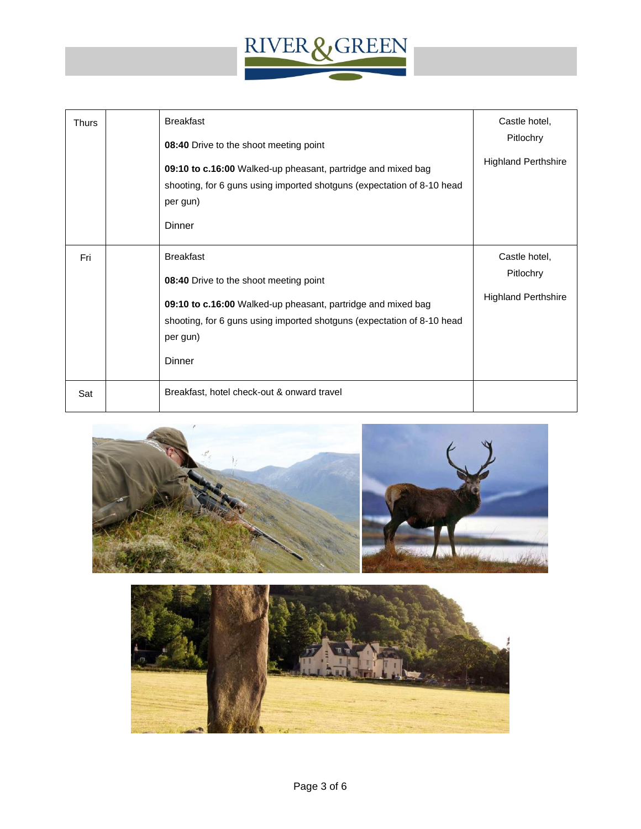

| <b>Thurs</b> | <b>Breakfast</b><br>08:40 Drive to the shoot meeting point<br>09:10 to c.16:00 Walked-up pheasant, partridge and mixed bag<br>shooting, for 6 guns using imported shotguns (expectation of 8-10 head<br>per gun)<br>Dinner        | Castle hotel,<br>Pitlochry<br><b>Highland Perthshire</b> |
|--------------|-----------------------------------------------------------------------------------------------------------------------------------------------------------------------------------------------------------------------------------|----------------------------------------------------------|
| Fri          | <b>Breakfast</b><br>08:40 Drive to the shoot meeting point<br>09:10 to c.16:00 Walked-up pheasant, partridge and mixed bag<br>shooting, for 6 guns using imported shotguns (expectation of 8-10 head<br>per gun)<br><b>Dinner</b> | Castle hotel,<br>Pitlochry<br><b>Highland Perthshire</b> |
| Sat          | Breakfast, hotel check-out & onward travel                                                                                                                                                                                        |                                                          |



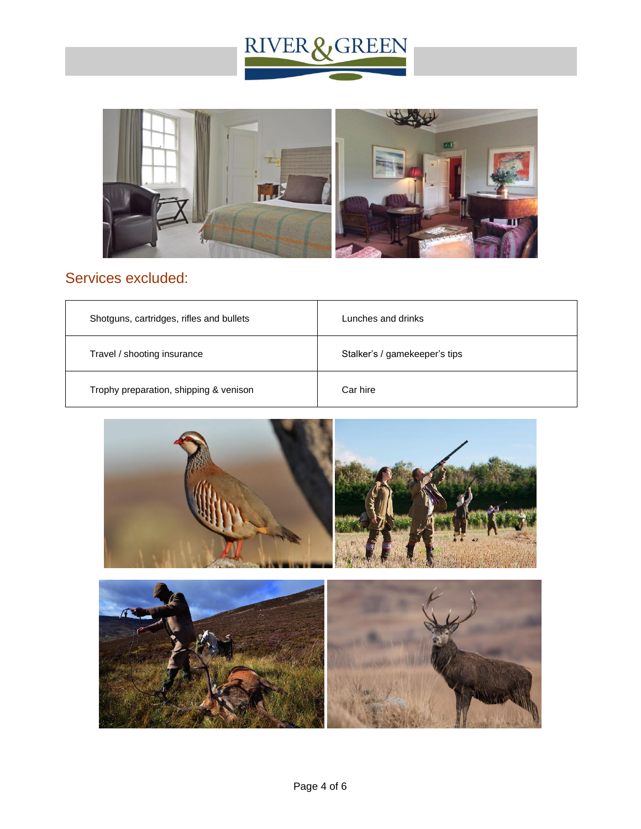



### Services excluded:

| Shotguns, cartridges, rifles and bullets | Lunches and drinks            |
|------------------------------------------|-------------------------------|
| Travel / shooting insurance              | Stalker's / gamekeeper's tips |
| Trophy preparation, shipping & venison   | Car hire                      |



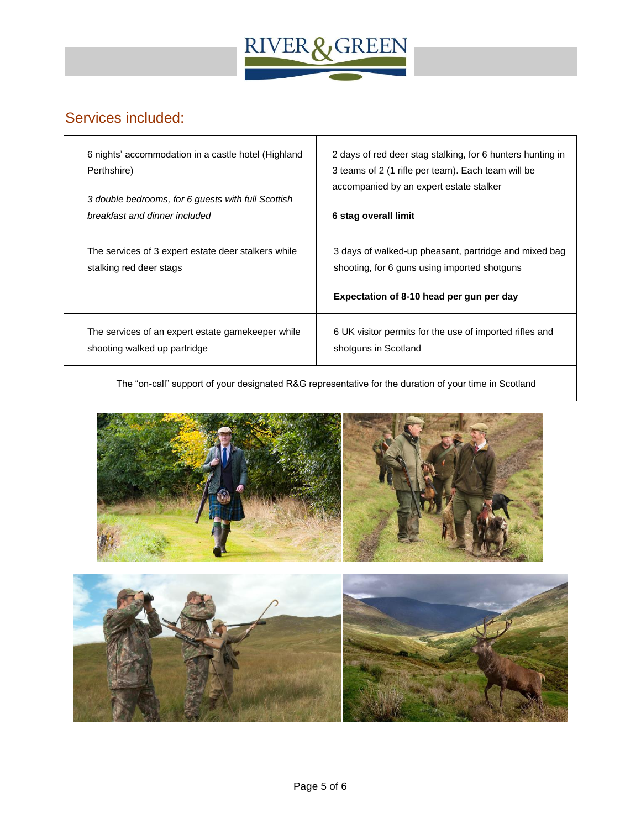

#### Services included:

| 6 nights' accommodation in a castle hotel (Highland                            | 2 days of red deer stag stalking, for 6 hunters hunting in                                                                                        |
|--------------------------------------------------------------------------------|---------------------------------------------------------------------------------------------------------------------------------------------------|
| Perthshire)                                                                    | 3 teams of 2 (1 rifle per team). Each team will be                                                                                                |
| 3 double bedrooms, for 6 guests with full Scottish                             | accompanied by an expert estate stalker                                                                                                           |
| breakfast and dinner included                                                  | 6 stag overall limit                                                                                                                              |
| The services of 3 expert estate deer stalkers while<br>stalking red deer stags | 3 days of walked-up pheasant, partridge and mixed bag<br>shooting, for 6 guns using imported shotguns<br>Expectation of 8-10 head per gun per day |
| The services of an expert estate gamekeeper while                              | 6 UK visitor permits for the use of imported rifles and                                                                                           |
| shooting walked up partridge                                                   | shotguns in Scotland                                                                                                                              |

The "on-call" support of your designated R&G representative for the duration of your time in Scotland